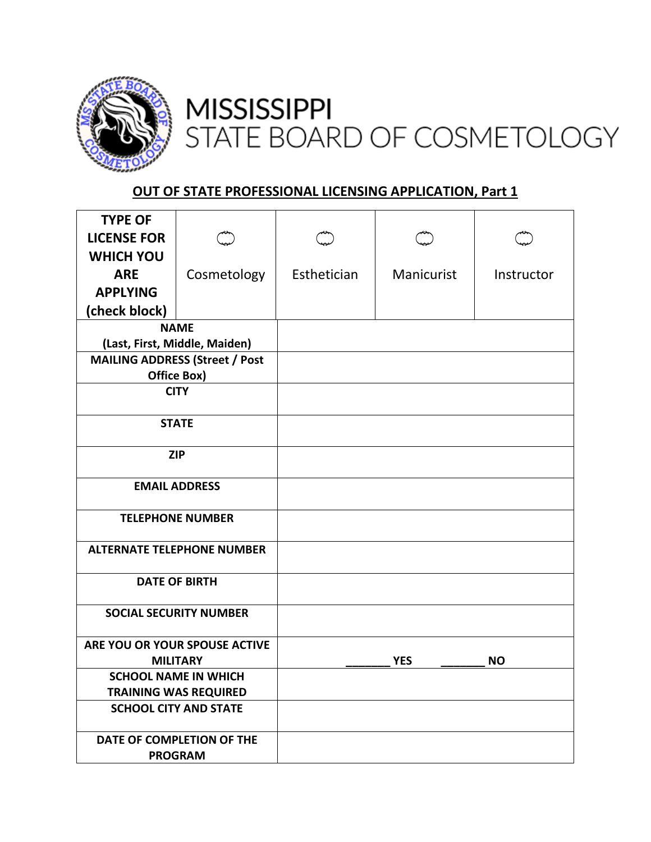

## **MISSISSIPPI** STATE BOARD OF COSMETOLOGY

## **OUT OF STATE PROFESSIONAL LICENSING APPLICATION, Part 1**

| <b>TYPE OF</b>                        |             |             |            |            |
|---------------------------------------|-------------|-------------|------------|------------|
| <b>LICENSE FOR</b>                    |             |             |            |            |
| <b>WHICH YOU</b>                      |             |             |            |            |
| <b>ARE</b>                            | Cosmetology | Esthetician | Manicurist | Instructor |
| <b>APPLYING</b>                       |             |             |            |            |
| (check block)                         |             |             |            |            |
| <b>NAME</b>                           |             |             |            |            |
| (Last, First, Middle, Maiden)         |             |             |            |            |
| <b>MAILING ADDRESS (Street / Post</b> |             |             |            |            |
| Office Box)                           |             |             |            |            |
| <b>CITY</b>                           |             |             |            |            |
| <b>STATE</b>                          |             |             |            |            |
|                                       |             |             |            |            |
| <b>ZIP</b>                            |             |             |            |            |
| <b>EMAIL ADDRESS</b>                  |             |             |            |            |
|                                       |             |             |            |            |
| <b>TELEPHONE NUMBER</b>               |             |             |            |            |
| <b>ALTERNATE TELEPHONE NUMBER</b>     |             |             |            |            |
|                                       |             |             |            |            |
| <b>DATE OF BIRTH</b>                  |             |             |            |            |
| <b>SOCIAL SECURITY NUMBER</b>         |             |             |            |            |
| ARE YOU OR YOUR SPOUSE ACTIVE         |             |             |            |            |
| <b>MILITARY</b>                       |             |             | <b>YES</b> | ΝO         |
| <b>SCHOOL NAME IN WHICH</b>           |             |             |            |            |
| <b>TRAINING WAS REQUIRED</b>          |             |             |            |            |
| <b>SCHOOL CITY AND STATE</b>          |             |             |            |            |
| DATE OF COMPLETION OF THE             |             |             |            |            |
| <b>PROGRAM</b>                        |             |             |            |            |